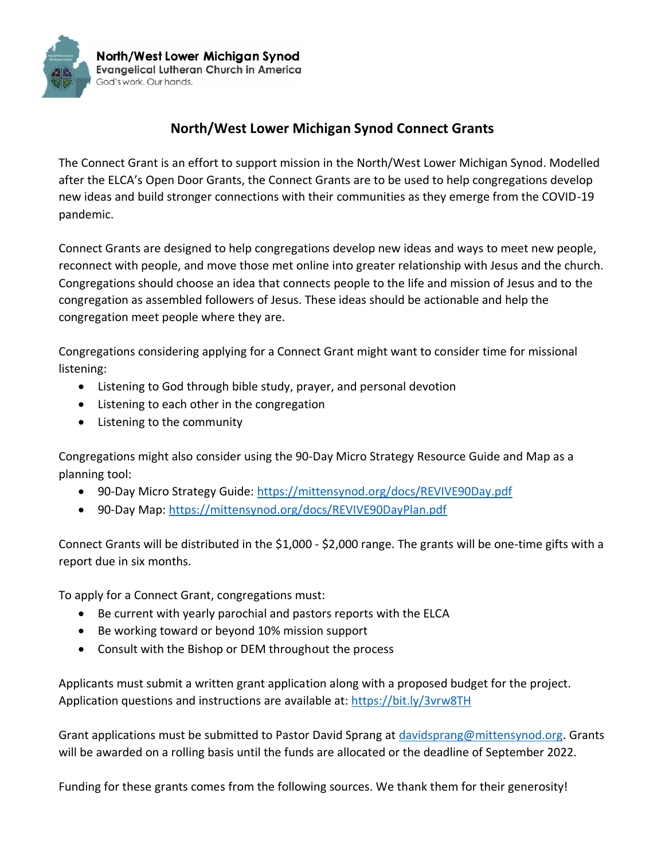

## **North/West Lower Michigan Synod Connect Grants**

The Connect Grant is an effort to support mission in the North/West Lower Michigan Synod. Modelled after the ELCA's Open Door Grants, the Connect Grants are to be used to help congregations develop new ideas and build stronger connections with their communities as they emerge from the COVID-19 pandemic.

Connect Grants are designed to help congregations develop new ideas and ways to meet new people, reconnect with people, and move those met online into greater relationship with Jesus and the church. Congregations should choose an idea that connects people to the life and mission of Jesus and to the congregation as assembled followers of Jesus. These ideas should be actionable and help the congregation meet people where they are.

Congregations considering applying for a Connect Grant might want to consider time for missional listening:

- Listening to God through bible study, prayer, and personal devotion
- Listening to each other in the congregation
- Listening to the community

Congregations might also consider using the 90-Day Micro Strategy Resource Guide and Map as a planning tool:

- 90-Day Micro Strategy Guide: <https://mittensynod.org/docs/REVIVE90Day.pdf>
- 90-Day Map: <https://mittensynod.org/docs/REVIVE90DayPlan.pdf>

Connect Grants will be distributed in the \$1,000 - \$2,000 range. The grants will be one-time gifts with a report due in six months.

To apply for a Connect Grant, congregations must:

- Be current with yearly parochial and pastors reports with the ELCA
- Be working toward or beyond 10% mission support
- Consult with the Bishop or DEM throughout the process

Applicants must submit a written grant application along with a proposed budget for the project. Application questions and instructions are available at:<https://bit.ly/3vrw8TH>

Grant applications must be submitted to Pastor David Sprang at [davidsprang@mittensynod.org.](mailto:davidsprang@mittensynod.org) Grants will be awarded on a rolling basis until the funds are allocated or the deadline of September 2022.

Funding for these grants comes from the following sources. We thank them for their generosity!